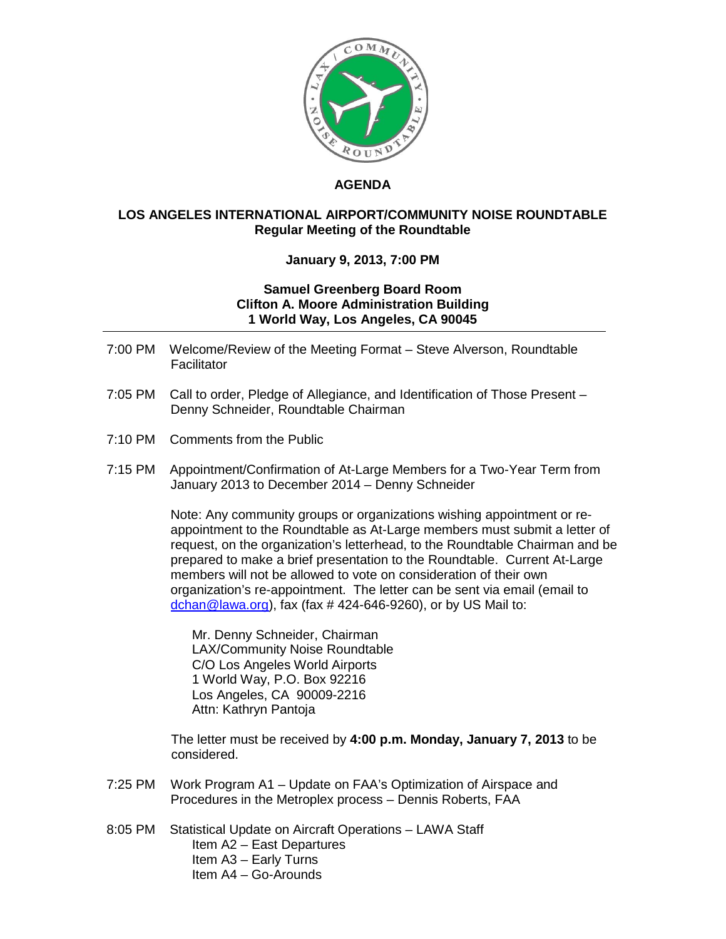

## **AGENDA**

## **LOS ANGELES INTERNATIONAL AIRPORT/COMMUNITY NOISE ROUNDTABLE Regular Meeting of the Roundtable**

## **January 9, 2013, 7:00 PM**

## **Samuel Greenberg Board Room Clifton A. Moore Administration Building 1 World Way, Los Angeles, CA 90045**

- 7:00 PM Welcome/Review of the Meeting Format Steve Alverson, Roundtable **Facilitator**
- 7:05 PM Call to order, Pledge of Allegiance, and Identification of Those Present Denny Schneider, Roundtable Chairman
- 7:10 PM Comments from the Public
- 7:15 PM Appointment/Confirmation of At-Large Members for a Two-Year Term from January 2013 to December 2014 – Denny Schneider

Note: Any community groups or organizations wishing appointment or reappointment to the Roundtable as At-Large members must submit a letter of request, on the organization's letterhead, to the Roundtable Chairman and be prepared to make a brief presentation to the Roundtable. Current At-Large members will not be allowed to vote on consideration of their own organization's re-appointment. The letter can be sent via email (email to [dchan@lawa.org\)](mailto:dchan@lawa.org), fax (fax  $\#$  424-646-9260), or by US Mail to:

Mr. Denny Schneider, Chairman LAX/Community Noise Roundtable C/O Los Angeles World Airports 1 World Way, P.O. Box 92216 Los Angeles, CA 90009-2216 Attn: Kathryn Pantoja

 The letter must be received by **4:00 p.m. Monday, January 7, 2013** to be considered.

- 7:25 PM Work Program A1 Update on FAA's Optimization of Airspace and Procedures in the Metroplex process – Dennis Roberts, FAA
- 8:05 PM Statistical Update on Aircraft Operations LAWA Staff Item A2 – East Departures Item A3 – Early Turns Item A4 – Go-Arounds